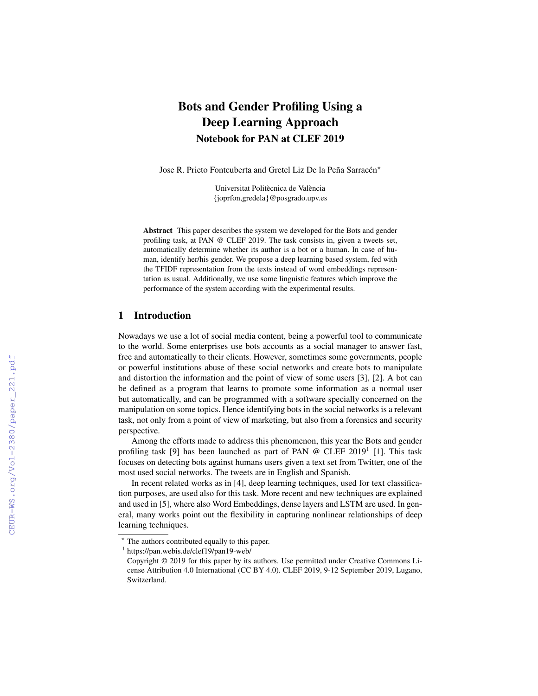# Bots and Gender Profiling Using a Deep Learning Approach Notebook for PAN at CLEF 2019

Jose R. Prieto Fontcuberta and Gretel Liz De la Peña Sarracén\*

Universitat Politècnica de València {joprfon,gredela}@posgrado.upv.es

Abstract This paper describes the system we developed for the Bots and gender profiling task, at PAN @ CLEF 2019. The task consists in, given a tweets set, automatically determine whether its author is a bot or a human. In case of human, identify her/his gender. We propose a deep learning based system, fed with the TFIDF representation from the texts instead of word embeddings representation as usual. Additionally, we use some linguistic features which improve the performance of the system according with the experimental results.

## 1 Introduction

Nowadays we use a lot of social media content, being a powerful tool to communicate to the world. Some enterprises use bots accounts as a social manager to answer fast, free and automatically to their clients. However, sometimes some governments, people or powerful institutions abuse of these social networks and create bots to manipulate and distortion the information and the point of view of some users [3], [2]. A bot can be defined as a program that learns to promote some information as a normal user but automatically, and can be programmed with a software specially concerned on the manipulation on some topics. Hence identifying bots in the social networks is a relevant task, not only from a point of view of marketing, but also from a forensics and security perspective.

Among the efforts made to address this phenomenon, this year the Bots and gender profiling task [9] has been launched as part of PAN @ CLEF 2019<sup>1</sup> [1]. This task focuses on detecting bots against humans users given a text set from Twitter, one of the most used social networks. The tweets are in English and Spanish.

In recent related works as in [4], deep learning techniques, used for text classification purposes, are used also for this task. More recent and new techniques are explained and used in [5], where also Word Embeddings, dense layers and LSTM are used. In general, many works point out the flexibility in capturing nonlinear relationships of deep learning techniques.

<sup>?</sup> The authors contributed equally to this paper.

<sup>1</sup> https://pan.webis.de/clef19/pan19-web/

Copyright © 2019 for this paper by its authors. Use permitted under Creative Commons License Attribution 4.0 International (CC BY 4.0). CLEF 2019, 9-12 September 2019, Lugano, Switzerland.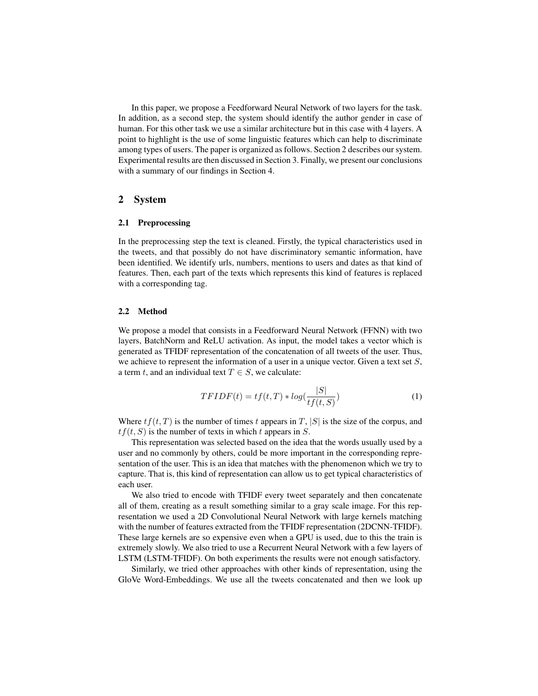In this paper, we propose a Feedforward Neural Network of two layers for the task. In addition, as a second step, the system should identify the author gender in case of human. For this other task we use a similar architecture but in this case with 4 layers. A point to highlight is the use of some linguistic features which can help to discriminate among types of users. The paper is organized as follows. Section 2 describes our system. Experimental results are then discussed in Section 3. Finally, we present our conclusions with a summary of our findings in Section 4.

## 2 System

#### 2.1 Preprocessing

In the preprocessing step the text is cleaned. Firstly, the typical characteristics used in the tweets, and that possibly do not have discriminatory semantic information, have been identified. We identify urls, numbers, mentions to users and dates as that kind of features. Then, each part of the texts which represents this kind of features is replaced with a corresponding tag.

#### 2.2 Method

We propose a model that consists in a Feedforward Neural Network (FFNN) with two layers, BatchNorm and ReLU activation. As input, the model takes a vector which is generated as TFIDF representation of the concatenation of all tweets of the user. Thus, we achieve to represent the information of a user in a unique vector. Given a text set  $S$ , a term t, and an individual text  $T \in S$ , we calculate:

$$
TFIDF(t) = tf(t, T) * log(\frac{|S|}{tf(t, S)})
$$
\n(1)

Where  $tf(t, T)$  is the number of times t appears in T, |S| is the size of the corpus, and  $tf(t, S)$  is the number of texts in which t appears in S.

This representation was selected based on the idea that the words usually used by a user and no commonly by others, could be more important in the corresponding representation of the user. This is an idea that matches with the phenomenon which we try to capture. That is, this kind of representation can allow us to get typical characteristics of each user.

We also tried to encode with TFIDF every tweet separately and then concatenate all of them, creating as a result something similar to a gray scale image. For this representation we used a 2D Convolutional Neural Network with large kernels matching with the number of features extracted from the TFIDF representation (2DCNN-TFIDF). These large kernels are so expensive even when a GPU is used, due to this the train is extremely slowly. We also tried to use a Recurrent Neural Network with a few layers of LSTM (LSTM-TFIDF). On both experiments the results were not enough satisfactory.

Similarly, we tried other approaches with other kinds of representation, using the GloVe Word-Embeddings. We use all the tweets concatenated and then we look up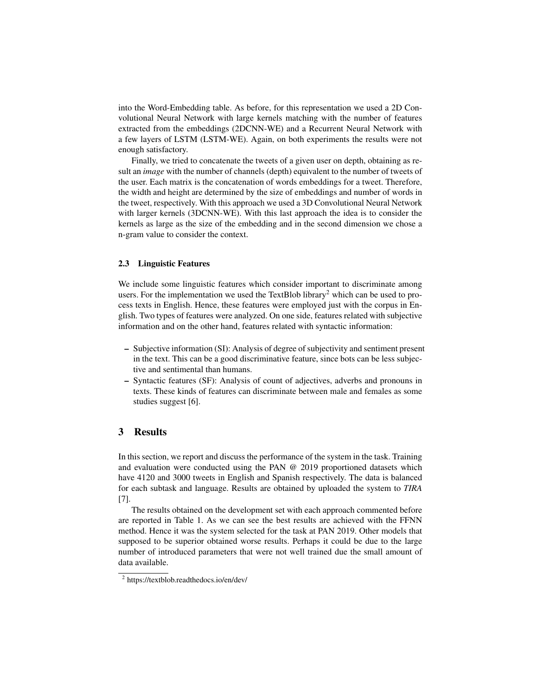into the Word-Embedding table. As before, for this representation we used a 2D Convolutional Neural Network with large kernels matching with the number of features extracted from the embeddings (2DCNN-WE) and a Recurrent Neural Network with a few layers of LSTM (LSTM-WE). Again, on both experiments the results were not enough satisfactory.

Finally, we tried to concatenate the tweets of a given user on depth, obtaining as result an *image* with the number of channels (depth) equivalent to the number of tweets of the user. Each matrix is the concatenation of words embeddings for a tweet. Therefore, the width and height are determined by the size of embeddings and number of words in the tweet, respectively. With this approach we used a 3D Convolutional Neural Network with larger kernels (3DCNN-WE). With this last approach the idea is to consider the kernels as large as the size of the embedding and in the second dimension we chose a n-gram value to consider the context.

#### 2.3 Linguistic Features

We include some linguistic features which consider important to discriminate among users. For the implementation we used the TextBlob library<sup>2</sup> which can be used to process texts in English. Hence, these features were employed just with the corpus in English. Two types of features were analyzed. On one side, features related with subjective information and on the other hand, features related with syntactic information:

- Subjective information (SI): Analysis of degree of subjectivity and sentiment present in the text. This can be a good discriminative feature, since bots can be less subjective and sentimental than humans.
- Syntactic features (SF): Analysis of count of adjectives, adverbs and pronouns in texts. These kinds of features can discriminate between male and females as some studies suggest [6].

## 3 Results

In this section, we report and discuss the performance of the system in the task. Training and evaluation were conducted using the PAN @ 2019 proportioned datasets which have 4120 and 3000 tweets in English and Spanish respectively. The data is balanced for each subtask and language. Results are obtained by uploaded the system to *TIRA* [7].

The results obtained on the development set with each approach commented before are reported in Table 1. As we can see the best results are achieved with the FFNN method. Hence it was the system selected for the task at PAN 2019. Other models that supposed to be superior obtained worse results. Perhaps it could be due to the large number of introduced parameters that were not well trained due the small amount of data available.

<sup>2</sup> https://textblob.readthedocs.io/en/dev/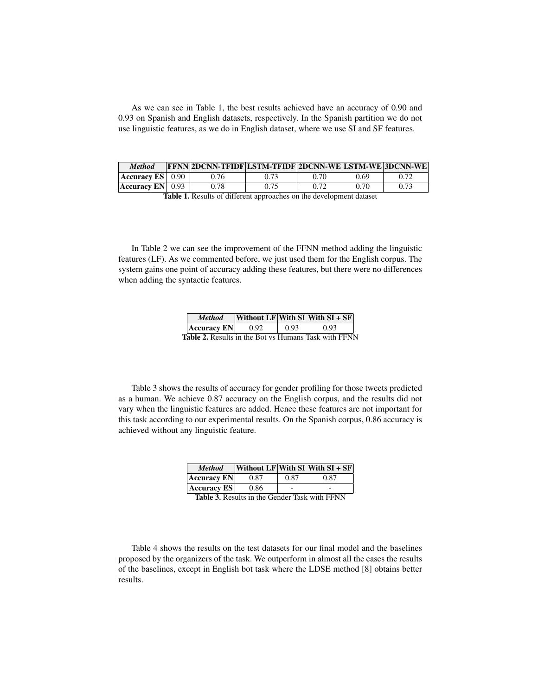As we can see in Table 1, the best results achieved have an accuracy of 0.90 and 0.93 on Spanish and English datasets, respectively. In the Spanish partition we do not use linguistic features, as we do in English dataset, where we use SI and SF features.

| <b>Method</b>                         | <b>FENN 2DCNN-TFIDF LSTM-TFIDF 2DCNN-WE LSTM-WE 3DCNN-WE</b> |      |      |      |      |
|---------------------------------------|--------------------------------------------------------------|------|------|------|------|
| $\textsf{Accuracy ES} \parallel 0.90$ | 0.76                                                         | 0.73 | 0.70 | 0.69 | 0.72 |
| $ $ Accuracy EN $ $ 0.93              | 0.78                                                         | 0.75 | 0.72 | 0.70 | 0.73 |

Table 1. Results of different approaches on the development dataset

In Table 2 we can see the improvement of the FFNN method adding the linguistic features (LF). As we commented before, we just used them for the English corpus. The system gains one point of accuracy adding these features, but there were no differences when adding the syntactic features.

| <b>Method</b>                                               |      |      | Without LF With $SI$ With $SI + SF$ |  |
|-------------------------------------------------------------|------|------|-------------------------------------|--|
| <b>Accuracy EN</b>                                          | 0.92 | 0.93 | 0.93                                |  |
| <b>Table 2.</b> Results in the Bot vs Humans Task with FFNN |      |      |                                     |  |

Table 3 shows the results of accuracy for gender profiling for those tweets predicted as a human. We achieve 0.87 accuracy on the English corpus, and the results did not vary when the linguistic features are added. Hence these features are not important for this task according to our experimental results. On the Spanish corpus, 0.86 accuracy is achieved without any linguistic feature.

| <b>Method</b>                  |      |      | <b>Without LF</b> With SI With $SI + SF$ |  |
|--------------------------------|------|------|------------------------------------------|--|
| <b>Accuracy EN</b>             | 0.87 | 0.87 | 0.87                                     |  |
| <b>Accuracy ES</b><br>0.86     |      |      |                                          |  |
| $\mathbf{m}$ ii $\mathbf{a}$ m |      |      | <b>DDAIL</b>                             |  |

Table 3. Results in the Gender Task with FFNN

Table 4 shows the results on the test datasets for our final model and the baselines proposed by the organizers of the task. We outperform in almost all the cases the results of the baselines, except in English bot task where the LDSE method [8] obtains better results.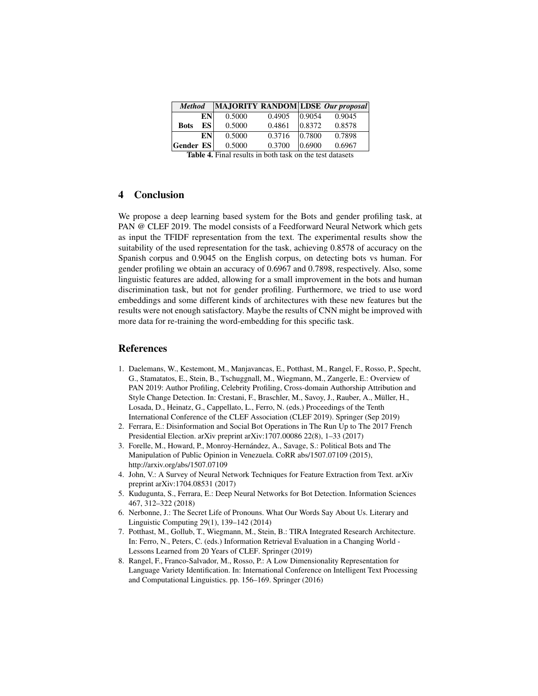| <b>Method</b>    |    |        |        |        | $ MAJORITY $ RANDOM $ LDSE $ <i>Our proposal</i> |
|------------------|----|--------|--------|--------|--------------------------------------------------|
|                  | EN | 0.5000 | 0.4905 | 0.9054 | 0.9045                                           |
| <b>Bots</b>      | ES | 0.5000 | 0.4861 | 0.8372 | 0.8578                                           |
|                  | EN | 0.5000 | 0.3716 | 0.7800 | 0.7898                                           |
| <b>Gender ES</b> |    | 0.5000 | 0.3700 | 0.6900 | 0.6967                                           |
| -- - -<br>$-1$   |    |        |        |        |                                                  |

Table 4. Final results in both task on the test datasets

## 4 Conclusion

We propose a deep learning based system for the Bots and gender profiling task, at PAN @ CLEF 2019. The model consists of a Feedforward Neural Network which gets as input the TFIDF representation from the text. The experimental results show the suitability of the used representation for the task, achieving 0.8578 of accuracy on the Spanish corpus and 0.9045 on the English corpus, on detecting bots vs human. For gender profiling we obtain an accuracy of 0.6967 and 0.7898, respectively. Also, some linguistic features are added, allowing for a small improvement in the bots and human discrimination task, but not for gender profiling. Furthermore, we tried to use word embeddings and some different kinds of architectures with these new features but the results were not enough satisfactory. Maybe the results of CNN might be improved with more data for re-training the word-embedding for this specific task.

## References

- 1. Daelemans, W., Kestemont, M., Manjavancas, E., Potthast, M., Rangel, F., Rosso, P., Specht, G., Stamatatos, E., Stein, B., Tschuggnall, M., Wiegmann, M., Zangerle, E.: Overview of PAN 2019: Author Profiling, Celebrity Profiling, Cross-domain Authorship Attribution and Style Change Detection. In: Crestani, F., Braschler, M., Savoy, J., Rauber, A., Müller, H., Losada, D., Heinatz, G., Cappellato, L., Ferro, N. (eds.) Proceedings of the Tenth International Conference of the CLEF Association (CLEF 2019). Springer (Sep 2019)
- 2. Ferrara, E.: Disinformation and Social Bot Operations in The Run Up to The 2017 French Presidential Election. arXiv preprint arXiv:1707.00086 22(8), 1–33 (2017)
- 3. Forelle, M., Howard, P., Monroy-Hernández, A., Savage, S.: Political Bots and The Manipulation of Public Opinion in Venezuela. CoRR abs/1507.07109 (2015), http://arxiv.org/abs/1507.07109
- 4. John, V.: A Survey of Neural Network Techniques for Feature Extraction from Text. arXiv preprint arXiv:1704.08531 (2017)
- 5. Kudugunta, S., Ferrara, E.: Deep Neural Networks for Bot Detection. Information Sciences 467, 312–322 (2018)
- 6. Nerbonne, J.: The Secret Life of Pronouns. What Our Words Say About Us. Literary and Linguistic Computing 29(1), 139–142 (2014)
- 7. Potthast, M., Gollub, T., Wiegmann, M., Stein, B.: TIRA Integrated Research Architecture. In: Ferro, N., Peters, C. (eds.) Information Retrieval Evaluation in a Changing World - Lessons Learned from 20 Years of CLEF. Springer (2019)
- 8. Rangel, F., Franco-Salvador, M., Rosso, P.: A Low Dimensionality Representation for Language Variety Identification. In: International Conference on Intelligent Text Processing and Computational Linguistics. pp. 156–169. Springer (2016)